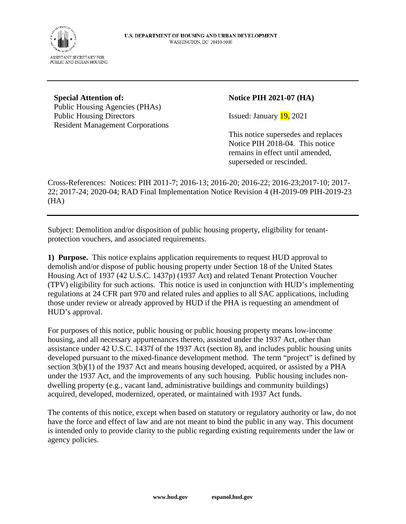

#### **Special Attention of:**  Public Housing Agencies (PHAs) Public Housing Directors Resident Management Corporations

### **Notice PIH 2021-07 (HA)**

Issued: January 19, 2021

This notice supersedes and replaces Notice PIH 2018-04. This notice remains in effect until amended, superseded or rescinded.

Cross-References: Notices: PIH 2011-7; 2016-13; 2016-20; 2016-22; 2016-23;2017-10; 2017- 22; 2017-24; 2020-04; RAD Final Implementation Notice Revision 4 (H-2019-09 PIH-2019-23 (HA)

Subject: Demolition and/or disposition of public housing property, eligibility for tenantprotection vouchers, and associated requirements.

**1) Purpose.** This notice explains application requirements to request HUD approval to demolish and/or dispose of public housing property under Section 18 of the United States Housing Act of 1937 (42 U.S.C. 1437p) (1937 Act) and related Tenant Protection Voucher (TPV) eligibility for such actions. This notice is used in conjunction with HUD's implementing regulations at 24 CFR part 970 and related rules and applies to all SAC applications, including those under review or already approved by HUD if the PHA is requesting an amendment of HUD's approval.

For purposes of this notice, public housing or public housing property means low-income housing, and all necessary appurtenances thereto, assisted under the 1937 Act, other than assistance under 42 U.S.C. 1437f of the 1937 Act (section 8), and includes public housing units developed pursuant to the mixed-finance development method. The term "project" is defined by section 3(b)(1) of the 1937 Act and means housing developed, acquired, or assisted by a PHA under the 1937 Act, and the improvements of any such housing. Public housing includes nondwelling property (e.g., vacant land, administrative buildings and community buildings) acquired, developed, modernized, operated, or maintained with 1937 Act funds.

The contents of this notice, except when based on statutory or regulatory authority or law, do not have the force and effect of law and are not meant to bind the public in any way. This document is intended only to provide clarity to the public regarding existing requirements under the law or agency policies.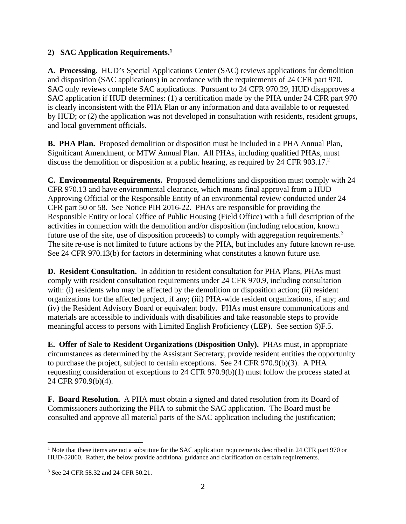# **2) SAC Application Requirements.[1](#page-1-0)**

**A. Processing.** HUD's Special Applications Center (SAC) reviews applications for demolition and disposition (SAC applications) in accordance with the requirements of 24 CFR part 970. SAC only reviews complete SAC applications. Pursuant to 24 CFR 970.29, HUD disapproves a SAC application if HUD determines: (1) a certification made by the PHA under 24 CFR part 970 is clearly inconsistent with the PHA Plan or any information and data available to or requested by HUD; or (2) the application was not developed in consultation with residents, resident groups, and local government officials.

**B. PHA Plan.** Proposed demolition or disposition must be included in a PHA Annual Plan, Significant Amendment, or MTW Annual Plan. All PHAs, including qualified PHAs, must discuss the demolition or disposition at a public hearing, as required by 24 CFR 903.17.<sup>2</sup>

**C. Environmental Requirements.** Proposed demolitions and disposition must comply with 24 CFR 970.13 and have environmental clearance, which means final approval from a HUD Approving Official or the Responsible Entity of an environmental review conducted under 24 CFR part 50 or 58. See Notice PIH 2016-22. PHAs are responsible for providing the Responsible Entity or local Office of Public Housing (Field Office) with a full description of the activities in connection with the demolition and/or disposition (including relocation, known future use of the site, use of disposition proceeds) to comply with aggregation requirements.<sup>[3](#page-1-1)</sup> The site re-use is not limited to future actions by the PHA, but includes any future known re-use. See 24 CFR 970.13(b) for factors in determining what constitutes a known future use.

**D. Resident Consultation.** In addition to resident consultation for PHA Plans, PHAs must comply with resident consultation requirements under 24 CFR 970.9, including consultation with: (i) residents who may be affected by the demolition or disposition action; (ii) resident organizations for the affected project, if any; (iii) PHA-wide resident organizations, if any; and (iv) the Resident Advisory Board or equivalent body. PHAs must ensure communications and materials are accessible to individuals with disabilities and take reasonable steps to provide meaningful access to persons with Limited English Proficiency (LEP). See section 6)F.5.

**E. Offer of Sale to Resident Organizations (Disposition Only).** PHAs must, in appropriate circumstances as determined by the Assistant Secretary, provide resident entities the opportunity to purchase the project, subject to certain exceptions. See 24 CFR 970.9(b)(3). A PHA requesting consideration of exceptions to 24 CFR 970.9(b)(1) must follow the process stated at 24 CFR 970.9(b)(4).

**F. Board Resolution.** A PHA must obtain a signed and dated resolution from its Board of Commissioners authorizing the PHA to submit the SAC application. The Board must be consulted and approve all material parts of the SAC application including the justification;

<span id="page-1-0"></span><sup>&</sup>lt;sup>1</sup> Note that these items are not a substitute for the SAC application requirements described in 24 CFR part 970 or HUD-52860. Rather, the below provide additional guidance and clarification on certain requirements.

<span id="page-1-1"></span><sup>3</sup> See 24 CFR 58.32 and 24 CFR 50.21.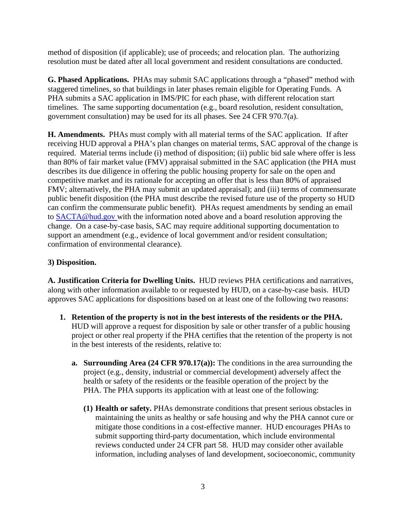method of disposition (if applicable); use of proceeds; and relocation plan. The authorizing resolution must be dated after all local government and resident consultations are conducted.

**G. Phased Applications.** PHAs may submit SAC applications through a "phased" method with staggered timelines, so that buildings in later phases remain eligible for Operating Funds. A PHA submits a SAC application in IMS/PIC for each phase, with different relocation start timelines. The same supporting documentation (e.g., board resolution, resident consultation, government consultation) may be used for its all phases. See 24 CFR 970.7(a).

**H. Amendments.** PHAs must comply with all material terms of the SAC application. If after receiving HUD approval a PHA's plan changes on material terms, SAC approval of the change is required. Material terms include (i) method of disposition; (ii) public bid sale where offer is less than 80% of fair market value (FMV) appraisal submitted in the SAC application (the PHA must describes its due diligence in offering the public housing property for sale on the open and competitive market and its rationale for accepting an offer that is less than 80% of appraised FMV; alternatively, the PHA may submit an updated appraisal); and (iii) terms of commensurate public benefit disposition (the PHA must describe the revised future use of the property so HUD can confirm the commensurate public benefit). PHAs request amendments by sending an email to [SACTA@hud.gov](mailto:SACTA@hud.gov) with the information noted above and a board resolution approving the change. On a case-by-case basis, SAC may require additional supporting documentation to support an amendment (e.g., evidence of local government and/or resident consultation; confirmation of environmental clearance).

### **3) Disposition.**

**A. Justification Criteria for Dwelling Units.** HUD reviews PHA certifications and narratives, along with other information available to or requested by HUD, on a case-by-case basis. HUD approves SAC applications for dispositions based on at least one of the following two reasons:

- **1. Retention of the property is not in the best interests of the residents or the PHA.** HUD will approve a request for disposition by sale or other transfer of a public housing project or other real property if the PHA certifies that the retention of the property is not in the best interests of the residents, relative to:
	- **a. Surrounding Area (24 CFR 970.17(a)):** The conditions in the area surrounding the project (e.g., density, industrial or commercial development) adversely affect the health or safety of the residents or the feasible operation of the project by the PHA. The PHA supports its application with at least one of the following:
		- **(1) Health or safety.** PHAs demonstrate conditions that present serious obstacles in maintaining the units as healthy or safe housing and why the PHA cannot cure or mitigate those conditions in a cost-effective manner. HUD encourages PHAs to submit supporting third-party documentation, which include environmental reviews conducted under 24 CFR part 58. HUD may consider other available information, including analyses of land development, socioeconomic, community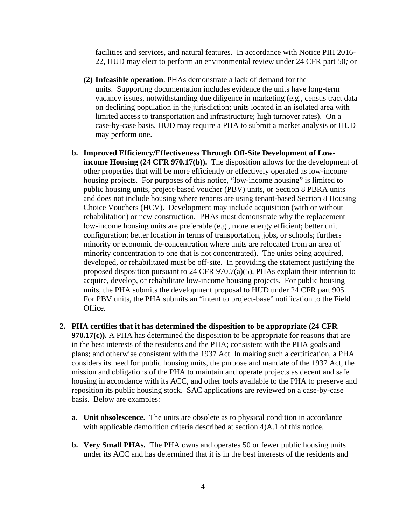facilities and services, and natural features. In accordance with Notice PIH 2016- 22, HUD may elect to perform an environmental review under 24 CFR part 50*;* or

- **(2) Infeasible operation**. PHAs demonstrate a lack of demand for the units. Supporting documentation includes evidence the units have long-term vacancy issues, notwithstanding due diligence in marketing (e.g., census tract data on declining population in the jurisdiction; units located in an isolated area with limited access to transportation and infrastructure; high turnover rates). On a case-by-case basis, HUD may require a PHA to submit a market analysis or HUD may perform one.
- **b. Improved Efficiency/Effectiveness Through Off-Site Development of Lowincome Housing (24 CFR 970.17(b)).** The disposition allows for the development of other properties that will be more efficiently or effectively operated as low-income housing projects. For purposes of this notice, "low-income housing" is limited to public housing units, project-based voucher (PBV) units, or Section 8 PBRA units and does not include housing where tenants are using tenant-based Section 8 Housing Choice Vouchers (HCV). Development may include acquisition (with or without rehabilitation) or new construction. PHAs must demonstrate why the replacement low-income housing units are preferable (e.g., more energy efficient; better unit configuration; better location in terms of transportation, jobs, or schools; furthers minority or economic de-concentration where units are relocated from an area of minority concentration to one that is not concentrated). The units being acquired, developed, or rehabilitated must be off-site. In providing the statement justifying the proposed disposition pursuant to 24 CFR 970.7(a)(5), PHAs explain their intention to acquire, develop, or rehabilitate low-income housing projects. For public housing units, the PHA submits the development proposal to HUD under 24 CFR part 905. For PBV units, the PHA submits an "intent to project-base" notification to the Field Office.
- **2. PHA certifies that it has determined the disposition to be appropriate (24 CFR 970.17(c)).** A PHA has determined the disposition to be appropriate for reasons that are in the best interests of the residents and the PHA; consistent with the PHA goals and plans; and otherwise consistent with the 1937 Act. In making such a certification, a PHA considers its need for public housing units, the purpose and mandate of the 1937 Act, the mission and obligations of the PHA to maintain and operate projects as decent and safe housing in accordance with its ACC, and other tools available to the PHA to preserve and reposition its public housing stock. SAC applications are reviewed on a case-by-case basis. Below are examples:
	- **a. Unit obsolescence.** The units are obsolete as to physical condition in accordance with applicable demolition criteria described at section 4)A.1 of this notice.
	- **b. Very Small PHAs.** The PHA owns and operates 50 or fewer public housing units under its ACC and has determined that it is in the best interests of the residents and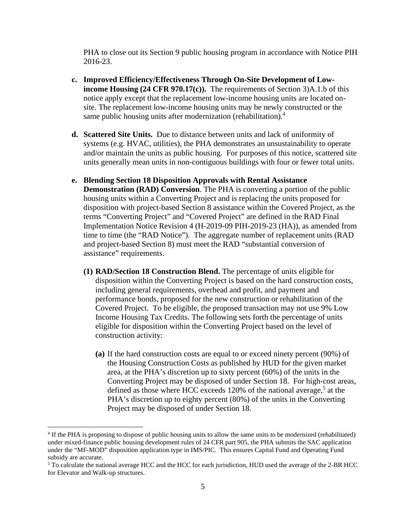PHA to close out its Section 9 public housing program in accordance with Notice PIH 2016-23.

- **c. Improved Efficiency/Effectiveness Through On-Site Development of Lowincome Housing (24 CFR 970.17(c)).** The requirements of Section 3)A.1.b of this notice apply except that the replacement low-income housing units are located onsite. The replacement low-income housing units may be newly constructed or the same public housing units after modernization (rehabilitation).<sup>[4](#page-4-0)</sup>
- **d. Scattered Site Units.** Due to distance between units and lack of uniformity of systems (e.g. HVAC, utilities), the PHA demonstrates an unsustainability to operate and/or maintain the units as public housing. For purposes of this notice, scattered site units generally mean units in non-contiguous buildings with four or fewer total units.
- **e. Blending Section 18 Disposition Approvals with Rental Assistance Demonstration (RAD) Conversion**. The PHA is converting a portion of the public housing units within a Converting Project and is replacing the units proposed for disposition with project-based Section 8 assistance within the Covered Project, as the terms "Converting Project" and "Covered Project" are defined in the RAD Final Implementation Notice Revision 4 (H-2019-09 PIH-2019-23 (HA)), as amended from time to time (the "RAD Notice"). The aggregate number of replacement units (RAD and project-based Section 8) must meet the RAD "substantial conversion of assistance" requirements.
	- **(1) RAD/Section 18 Construction Blend.** The percentage of units eligible for disposition within the Converting Project is based on the hard construction costs, including general requirements, overhead and profit, and payment and performance bonds, proposed for the new construction or rehabilitation of the Covered Project. To be eligible, the proposed transaction may not use 9% Low Income Housing Tax Credits. The following sets forth the percentage of units eligible for disposition within the Converting Project based on the level of construction activity:
		- **(a)** If the hard construction costs are equal to or exceed ninety percent (90%) of the Housing Construction Costs as published by HUD for the given market area, at the PHA's discretion up to sixty percent (60%) of the units in the Converting Project may be disposed of under Section 18. For high-cost areas, defined as those where HCC exceeds 120% of the national average,<sup>[5](#page-4-1)</sup> at the PHA's discretion up to eighty percent (80%) of the units in the Converting Project may be disposed of under Section 18.

<span id="page-4-0"></span><sup>&</sup>lt;sup>4</sup> If the PHA is proposing to dispose of public housing units to allow the same units to be modernized (rehabilitated) under mixed-finance public housing development rules of 24 CFR part 905, the PHA submits the SAC application under the "MF-MOD" disposition application type in IMS/PIC. This ensures Capital Fund and Operating Fund subsidy are accurate.

<span id="page-4-1"></span> $<sup>5</sup>$  To calculate the national average HCC and the HCC for each jurisdiction, HUD used the average of the 2-BR HCC</sup> for Elevator and Walk-up structures.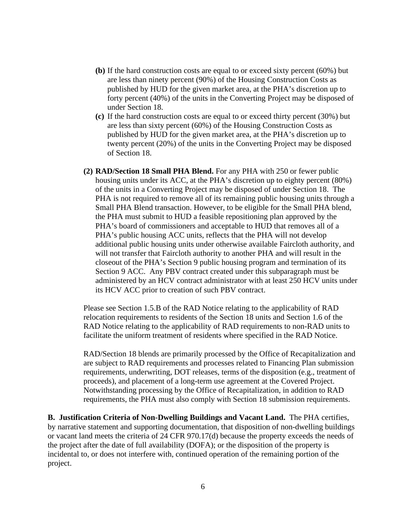- **(b)** If the hard construction costs are equal to or exceed sixty percent (60%) but are less than ninety percent (90%) of the Housing Construction Costs as published by HUD for the given market area, at the PHA's discretion up to forty percent (40%) of the units in the Converting Project may be disposed of under Section 18.
- **(c)** If the hard construction costs are equal to or exceed thirty percent (30%) but are less than sixty percent (60%) of the Housing Construction Costs as published by HUD for the given market area, at the PHA's discretion up to twenty percent (20%) of the units in the Converting Project may be disposed of Section 18.
- **(2) RAD/Section 18 Small PHA Blend.** For any PHA with 250 or fewer public housing units under its ACC, at the PHA's discretion up to eighty percent (80%) of the units in a Converting Project may be disposed of under Section 18. The PHA is not required to remove all of its remaining public housing units through a Small PHA Blend transaction. However, to be eligible for the Small PHA blend, the PHA must submit to HUD a feasible repositioning plan approved by the PHA's board of commissioners and acceptable to HUD that removes all of a PHA's public housing ACC units, reflects that the PHA will not develop additional public housing units under otherwise available Faircloth authority, and will not transfer that Faircloth authority to another PHA and will result in the closeout of the PHA's Section 9 public housing program and termination of its Section 9 ACC. Any PBV contract created under this subparagraph must be administered by an HCV contract administrator with at least 250 HCV units under its HCV ACC prior to creation of such PBV contract.

Please see Section 1.5.B of the RAD Notice relating to the applicability of RAD relocation requirements to residents of the Section 18 units and Section 1.6 of the RAD Notice relating to the applicability of RAD requirements to non-RAD units to facilitate the uniform treatment of residents where specified in the RAD Notice.

RAD/Section 18 blends are primarily processed by the Office of Recapitalization and are subject to RAD requirements and processes related to Financing Plan submission requirements, underwriting, DOT releases, terms of the disposition (e.g., treatment of proceeds), and placement of a long-term use agreement at the Covered Project. Notwithstanding processing by the Office of Recapitalization, in addition to RAD requirements, the PHA must also comply with Section 18 submission requirements.

**B. Justification Criteria of Non-Dwelling Buildings and Vacant Land.** The PHA certifies, by narrative statement and supporting documentation, that disposition of non-dwelling buildings or vacant land meets the criteria of 24 CFR 970.17(d) because the property exceeds the needs of the project after the date of full availability (DOFA); or the disposition of the property is incidental to, or does not interfere with, continued operation of the remaining portion of the project.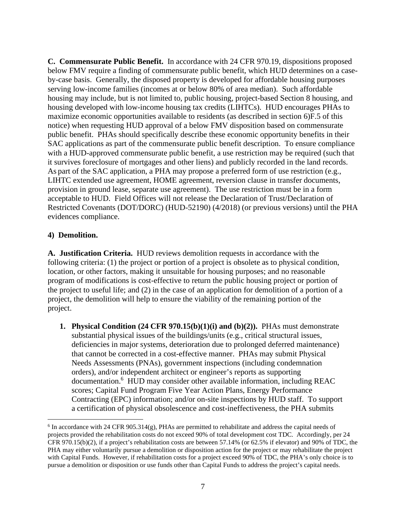**C. Commensurate Public Benefit.** In accordance with 24 CFR 970.19, dispositions proposed below FMV require a finding of commensurate public benefit, which HUD determines on a caseby-case basis. Generally, the disposed property is developed for affordable housing purposes serving low-income families (incomes at or below 80% of area median). Such affordable housing may include, but is not limited to, public housing, project-based Section 8 housing, and housing developed with low-income housing tax credits (LIHTCs). HUD encourages PHAs to maximize economic opportunities available to residents (as described in section 6)F.5 of this notice) when requesting HUD approval of a below FMV disposition based on commensurate public benefit. PHAs should specifically describe these economic opportunity benefits in their SAC applications as part of the commensurate public benefit description. To ensure compliance with a HUD-approved commensurate public benefit, a use restriction may be required (such that it survives foreclosure of mortgages and other liens) and publicly recorded in the land records. As part of the SAC application, a PHA may propose a preferred form of use restriction (e.g., LIHTC extended use agreement, HOME agreement, reversion clause in transfer documents, provision in ground lease, separate use agreement). The use restriction must be in a form acceptable to HUD. Field Offices will not release the Declaration of Trust/Declaration of Restricted Covenants (DOT/DORC) (HUD-52190) (4/2018) (or previous versions) until the PHA evidences compliance.

#### **4) Demolition.**

**A. Justification Criteria.** HUD reviews demolition requests in accordance with the following criteria: (1) the project or portion of a project is obsolete as to physical condition, location, or other factors, making it unsuitable for housing purposes; and no reasonable program of modifications is cost-effective to return the public housing project or portion of the project to useful life; and (2) in the case of an application for demolition of a portion of a project, the demolition will help to ensure the viability of the remaining portion of the project.

**1. Physical Condition (24 CFR 970.15(b)(1)(i) and (b)(2)).** PHAs must demonstrate substantial physical issues of the buildings/units (e.g., critical structural issues, deficiencies in major systems, deterioration due to prolonged deferred maintenance) that cannot be corrected in a cost-effective manner. PHAs may submit Physical Needs Assessments (PNAs), government inspections (including condemnation orders), and/or independent architect or engineer's reports as supporting documentation.<sup>[6](#page-6-0)</sup> HUD may consider other available information, including REAC scores; Capital Fund Program Five Year Action Plans, Energy Performance Contracting (EPC) information; and/or on-site inspections by HUD staff. To support a certification of physical obsolescence and cost-ineffectiveness, the PHA submits

<span id="page-6-0"></span><sup>&</sup>lt;sup>6</sup> In accordance with 24 CFR 905.314(g), PHAs are permitted to rehabilitate and address the capital needs of projects provided the rehabilitation costs do not exceed 90% of total development cost TDC. Accordingly, per 24 CFR 970.15(b)(2), if a project's rehabilitation costs are between 57.14% (or 62.5% if elevator) and 90% of TDC, the PHA may either voluntarily pursue a demolition or disposition action for the project or may rehabilitate the project with Capital Funds. However, if rehabilitation costs for a project exceed 90% of TDC, the PHA's only choice is to pursue a demolition or disposition or use funds other than Capital Funds to address the project's capital needs.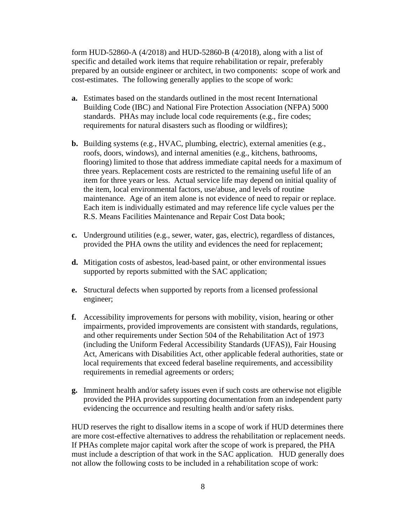form HUD-52860-A (4/2018) and HUD-52860-B (4/2018), along with a list of specific and detailed work items that require rehabilitation or repair, preferably prepared by an outside engineer or architect, in two components: scope of work and cost-estimates. The following generally applies to the scope of work:

- **a.** Estimates based on the standards outlined in the most recent International Building Code (IBC) and National Fire Protection Association (NFPA) 5000 standards. PHAs may include local code requirements (e.g., fire codes; requirements for natural disasters such as flooding or wildfires);
- **b.** Building systems (e.g., HVAC, plumbing, electric), external amenities (e.g., roofs, doors, windows), and internal amenities (e.g., kitchens, bathrooms, flooring) limited to those that address immediate capital needs for a maximum of three years. Replacement costs are restricted to the remaining useful life of an item for three years or less. Actual service life may depend on initial quality of the item, local environmental factors, use/abuse, and levels of routine maintenance. Age of an item alone is not evidence of need to repair or replace. Each item is individually estimated and may reference life cycle values per the R.S. Means Facilities Maintenance and Repair Cost Data book;
- **c.** Underground utilities (e.g., sewer, water, gas, electric), regardless of distances, provided the PHA owns the utility and evidences the need for replacement;
- **d.** Mitigation costs of asbestos, lead-based paint, or other environmental issues supported by reports submitted with the SAC application;
- **e.** Structural defects when supported by reports from a licensed professional engineer;
- **f.** Accessibility improvements for persons with mobility, vision, hearing or other impairments, provided improvements are consistent with standards, regulations, and other requirements under Section 504 of the Rehabilitation Act of 1973 (including the Uniform Federal Accessibility Standards (UFAS)), Fair Housing Act, Americans with Disabilities Act, other applicable federal authorities, state or local requirements that exceed federal baseline requirements, and accessibility requirements in remedial agreements or orders;
- **g.** Imminent health and/or safety issues even if such costs are otherwise not eligible provided the PHA provides supporting documentation from an independent party evidencing the occurrence and resulting health and/or safety risks.

HUD reserves the right to disallow items in a scope of work if HUD determines there are more cost-effective alternatives to address the rehabilitation or replacement needs. If PHAs complete major capital work after the scope of work is prepared, the PHA must include a description of that work in the SAC application. HUD generally does not allow the following costs to be included in a rehabilitation scope of work: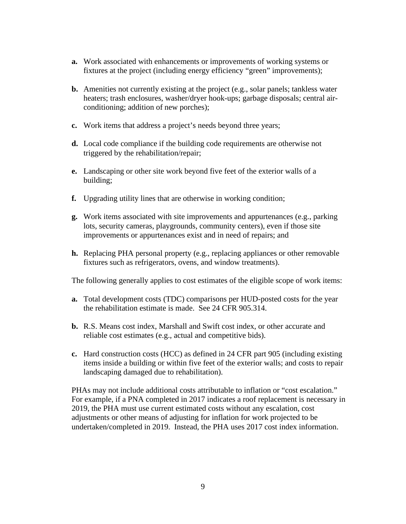- **a.** Work associated with enhancements or improvements of working systems or fixtures at the project (including energy efficiency "green" improvements);
- **b.** Amenities not currently existing at the project (e.g., solar panels; tankless water heaters; trash enclosures, washer/dryer hook-ups; garbage disposals; central airconditioning; addition of new porches);
- **c.** Work items that address a project's needs beyond three years;
- **d.** Local code compliance if the building code requirements are otherwise not triggered by the rehabilitation/repair;
- **e.** Landscaping or other site work beyond five feet of the exterior walls of a building;
- **f.** Upgrading utility lines that are otherwise in working condition;
- **g.** Work items associated with site improvements and appurtenances (e.g., parking lots, security cameras, playgrounds, community centers), even if those site improvements or appurtenances exist and in need of repairs; and
- **h.** Replacing PHA personal property (e.g., replacing appliances or other removable fixtures such as refrigerators, ovens, and window treatments).

The following generally applies to cost estimates of the eligible scope of work items:

- **a.** Total development costs (TDC) comparisons per HUD-posted costs for the year the rehabilitation estimate is made. See 24 CFR 905.314.
- **b.** R.S. Means cost index, Marshall and Swift cost index, or other accurate and reliable cost estimates (e.g., actual and competitive bids).
- **c.** Hard construction costs (HCC) as defined in 24 CFR part 905 (including existing items inside a building or within five feet of the exterior walls; and costs to repair landscaping damaged due to rehabilitation).

PHAs may not include additional costs attributable to inflation or "cost escalation." For example, if a PNA completed in 2017 indicates a roof replacement is necessary in 2019, the PHA must use current estimated costs without any escalation, cost adjustments or other means of adjusting for inflation for work projected to be undertaken/completed in 2019. Instead, the PHA uses 2017 cost index information.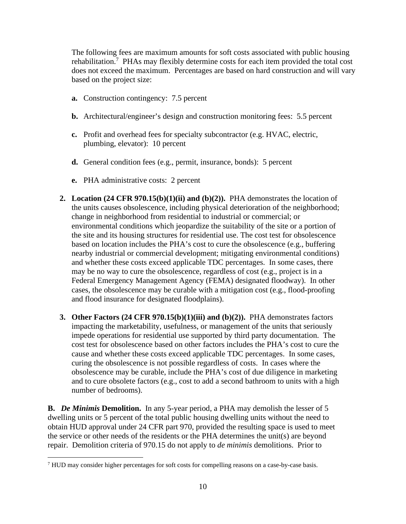The following fees are maximum amounts for soft costs associated with public housing rehabilitation.<sup>[7](#page-9-0)</sup> PHAs may flexibly determine costs for each item provided the total cost does not exceed the maximum. Percentages are based on hard construction and will vary based on the project size:

- **a.** Construction contingency: 7.5 percent
- **b.** Architectural/engineer's design and construction monitoring fees: 5.5 percent
- **c.** Profit and overhead fees for specialty subcontractor (e.g. HVAC, electric, plumbing, elevator): 10 percent
- **d.** General condition fees (e.g., permit, insurance, bonds): 5 percent
- **e.** PHA administrative costs: 2 percent
- **2. Location (24 CFR 970.15(b)(1)(ii) and (b)(2)).** PHA demonstrates the location of the units causes obsolescence, including physical deterioration of the neighborhood; change in neighborhood from residential to industrial or commercial; or environmental conditions which jeopardize the suitability of the site or a portion of the site and its housing structures for residential use. The cost test for obsolescence based on location includes the PHA's cost to cure the obsolescence (e.g., buffering nearby industrial or commercial development; mitigating environmental conditions) and whether these costs exceed applicable TDC percentages. In some cases, there may be no way to cure the obsolescence, regardless of cost (e.g., project is in a Federal Emergency Management Agency (FEMA) designated floodway). In other cases, the obsolescence may be curable with a mitigation cost (e.g., flood-proofing and flood insurance for designated floodplains).
- **3. Other Factors (24 CFR 970.15(b)(1)(iii) and (b)(2)).** PHA demonstrates factors impacting the marketability, usefulness, or management of the units that seriously impede operations for residential use supported by third party documentation. The cost test for obsolescence based on other factors includes the PHA's cost to cure the cause and whether these costs exceed applicable TDC percentages. In some cases, curing the obsolescence is not possible regardless of costs. In cases where the obsolescence may be curable, include the PHA's cost of due diligence in marketing and to cure obsolete factors (e.g., cost to add a second bathroom to units with a high number of bedrooms).

**B.** *De Minimis* **Demolition.** In any 5-year period, a PHA may demolish the lesser of 5 dwelling units or 5 percent of the total public housing dwelling units without the need to obtain HUD approval under 24 CFR part 970, provided the resulting space is used to meet the service or other needs of the residents or the PHA determines the unit(s) are beyond repair. Demolition criteria of 970.15 do not apply to *de minimis* demolitions. Prior to

<span id="page-9-0"></span> $<sup>7</sup>$  HUD may consider higher percentages for soft costs for compelling reasons on a case-by-case basis.</sup>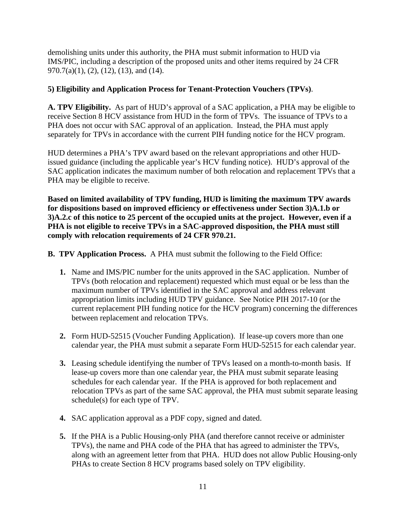demolishing units under this authority, the PHA must submit information to HUD via IMS/PIC, including a description of the proposed units and other items required by 24 CFR 970.7(a)(1), (2), (12), (13), and (14).

# **5) Eligibility and Application Process for Tenant-Protection Vouchers (TPVs)**.

**A. TPV Eligibility.** As part of HUD's approval of a SAC application, a PHA may be eligible to receive Section 8 HCV assistance from HUD in the form of TPVs. The issuance of TPVs to a PHA does not occur with SAC approval of an application. Instead, the PHA must apply separately for TPVs in accordance with the current PIH funding notice for the HCV program.

HUD determines a PHA's TPV award based on the relevant appropriations and other HUDissued guidance (including the applicable year's HCV funding notice). HUD's approval of the SAC application indicates the maximum number of both relocation and replacement TPVs that a PHA may be eligible to receive.

**Based on limited availability of TPV funding, HUD is limiting the maximum TPV awards for dispositions based on improved efficiency or effectiveness under Section 3)A.1.b or 3)A.2.c of this notice to 25 percent of the occupied units at the project. However, even if a PHA is not eligible to receive TPVs in a SAC-approved disposition, the PHA must still comply with relocation requirements of 24 CFR 970.21.** 

**B. TPV Application Process.** A PHA must submit the following to the Field Office:

- **1.** Name and IMS/PIC number for the units approved in the SAC application. Number of TPVs (both relocation and replacement) requested which must equal or be less than the maximum number of TPVs identified in the SAC approval and address relevant appropriation limits including HUD TPV guidance. See Notice PIH 2017-10 (or the current replacement PIH funding notice for the HCV program) concerning the differences between replacement and relocation TPVs.
- **2.** Form HUD-52515 (Voucher Funding Application). If lease-up covers more than one calendar year, the PHA must submit a separate Form HUD-52515 for each calendar year.
- **3.** Leasing schedule identifying the number of TPVs leased on a month-to-month basis. If lease-up covers more than one calendar year, the PHA must submit separate leasing schedules for each calendar year. If the PHA is approved for both replacement and relocation TPVs as part of the same SAC approval, the PHA must submit separate leasing schedule(s) for each type of TPV.
- **4.** SAC application approval as a PDF copy, signed and dated.
- **5.** If the PHA is a Public Housing-only PHA (and therefore cannot receive or administer TPVs), the name and PHA code of the PHA that has agreed to administer the TPVs, along with an agreement letter from that PHA. HUD does not allow Public Housing-only PHAs to create Section 8 HCV programs based solely on TPV eligibility.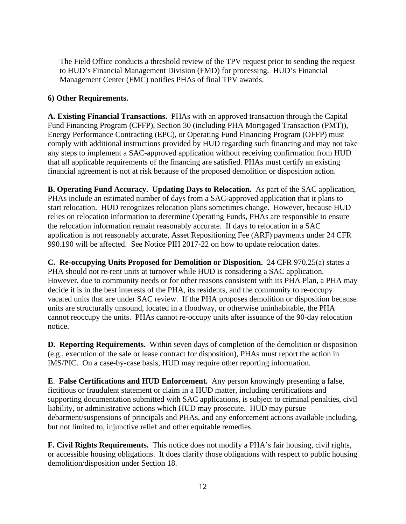The Field Office conducts a threshold review of the TPV request prior to sending the request to HUD's Financial Management Division (FMD) for processing. HUD's Financial Management Center (FMC) notifies PHAs of final TPV awards.

# **6) Other Requirements.**

**A. Existing Financial Transactions.** PHAs with an approved transaction through the Capital Fund Financing Program (CFFP), Section 30 (including PHA Mortgaged Transaction (PMT)), Energy Performance Contracting (EPC), or Operating Fund Financing Program (OFFP) must comply with additional instructions provided by HUD regarding such financing and may not take any steps to implement a SAC-approved application without receiving confirmation from HUD that all applicable requirements of the financing are satisfied. PHAs must certify an existing financial agreement is not at risk because of the proposed demolition or disposition action.

**B. Operating Fund Accuracy. Updating Days to Relocation.** As part of the SAC application, PHAs include an estimated number of days from a SAC-approved application that it plans to start relocation. HUD recognizes relocation plans sometimes change. However, because HUD relies on relocation information to determine Operating Funds, PHAs are responsible to ensure the relocation information remain reasonably accurate. If days to relocation in a SAC application is not reasonably accurate, Asset Repositioning Fee (ARF) payments under 24 CFR 990.190 will be affected. See Notice PIH 2017-22 on how to update relocation dates.

**C. Re-occupying Units Proposed for Demolition or Disposition.** 24 CFR 970.25(a) states a PHA should not re-rent units at turnover while HUD is considering a SAC application. However, due to community needs or for other reasons consistent with its PHA Plan, a PHA may decide it is in the best interests of the PHA, its residents, and the community to re-occupy vacated units that are under SAC review. If the PHA proposes demolition or disposition because units are structurally unsound, located in a floodway, or otherwise uninhabitable, the PHA cannot reoccupy the units. PHAs cannot re-occupy units after issuance of the 90-day relocation notice.

**D. Reporting Requirements.** Within seven days of completion of the demolition or disposition (e.g., execution of the sale or lease contract for disposition), PHAs must report the action in IMS/PIC. On a case-by-case basis, HUD may require other reporting information.

**E**. **False Certifications and HUD Enforcement.** Any person knowingly presenting a false, fictitious or fraudulent statement or claim in a HUD matter, including certifications and supporting documentation submitted with SAC applications, is subject to criminal penalties, civil liability, or administrative actions which HUD may prosecute. HUD may pursue debarment/suspensions of principals and PHAs, and any enforcement actions available including, but not limited to, injunctive relief and other equitable remedies.

**F. Civil Rights Requirements.** This notice does not modify a PHA's fair housing, civil rights, or accessible housing obligations. It does clarify those obligations with respect to public housing demolition/disposition under Section 18.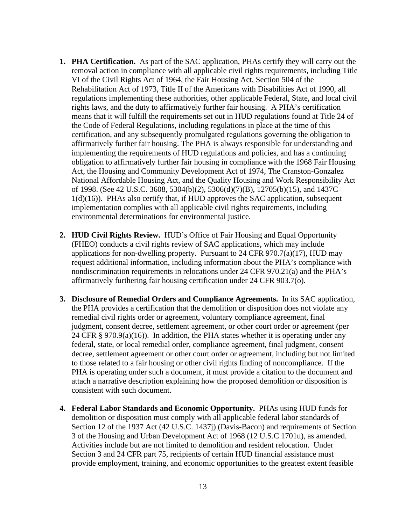- **1. PHA Certification.** As part of the SAC application, PHAs certify they will carry out the removal action in compliance with all applicable civil rights requirements, including Title VI of the Civil Rights Act of 1964, the Fair Housing Act, Section 504 of the Rehabilitation Act of 1973, Title II of the Americans with Disabilities Act of 1990, all regulations implementing these authorities, other applicable Federal, State, and local civil rights laws, and the duty to affirmatively further fair housing. A PHA's certification means that it will fulfill the requirements set out in HUD regulations found at Title 24 of the Code of Federal Regulations, including regulations in place at the time of this certification, and any subsequently promulgated regulations governing the obligation to affirmatively further fair housing. The PHA is always responsible for understanding and implementing the requirements of HUD regulations and policies, and has a continuing obligation to affirmatively further fair housing in compliance with the 1968 Fair Housing Act, the Housing and Community Development Act of 1974, The Cranston-Gonzalez National Affordable Housing Act, and the Quality Housing and Work Responsibility Act of 1998. (See 42 U.S.C. 3608, 5304(b)(2), 5306(d)(7)(B), 12705(b)(15), and 1437C– 1(d)(16)). PHAs also certify that, if HUD approves the SAC application, subsequent implementation complies with all applicable civil rights requirements, including environmental determinations for environmental justice.
- **2. HUD Civil Rights Review.** HUD's Office of Fair Housing and Equal Opportunity (FHEO) conducts a civil rights review of SAC applications, which may include applications for non-dwelling property. Pursuant to 24 CFR  $970.7(a)(17)$ , HUD may request additional information, including information about the PHA's compliance with nondiscrimination requirements in relocations under 24 CFR 970.21(a) and the PHA's affirmatively furthering fair housing certification under 24 CFR 903.7(o).
- **3. Disclosure of Remedial Orders and Compliance Agreements.** In its SAC application, the PHA provides a certification that the demolition or disposition does not violate any remedial civil rights order or agreement, voluntary compliance agreement, final judgment, consent decree, settlement agreement, or other court order or agreement (per 24 CFR § 970.9(a)(16)). In addition, the PHA states whether it is operating under any federal, state, or local remedial order, compliance agreement, final judgment, consent decree, settlement agreement or other court order or agreement, including but not limited to those related to a fair housing or other civil rights finding of noncompliance. If the PHA is operating under such a document, it must provide a citation to the document and attach a narrative description explaining how the proposed demolition or disposition is consistent with such document.
- **4. Federal Labor Standards and Economic Opportunity.** PHAs using HUD funds for demolition or disposition must comply with all applicable federal labor standards of Section 12 of the 1937 Act (42 U.S.C. 1437j) (Davis-Bacon) and requirements of Section 3 of the Housing and Urban Development Act of 1968 (12 U.S.C 1701u), as amended. Activities include but are not limited to demolition and resident relocation. Under Section 3 and 24 CFR part 75, recipients of certain HUD financial assistance must provide employment, training, and economic opportunities to the greatest extent feasible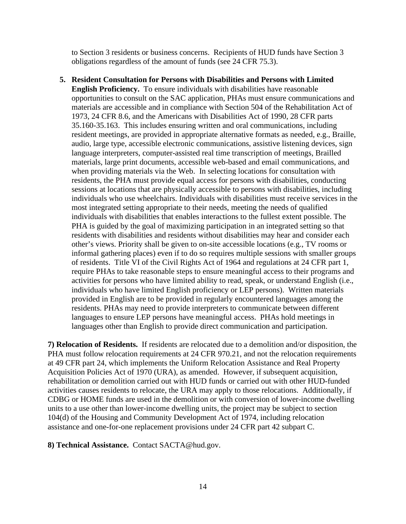to Section 3 residents or business concerns. Recipients of HUD funds have Section 3 obligations regardless of the amount of funds (see 24 CFR 75.3).

**5. Resident Consultation for Persons with Disabilities and Persons with Limited English Proficiency.** To ensure individuals with disabilities have reasonable opportunities to consult on the SAC application, PHAs must ensure communications and materials are accessible and in compliance with Section 504 of the Rehabilitation Act of 1973, 24 CFR 8.6, and the Americans with Disabilities Act of 1990, 28 CFR parts 35.160-35.163. This includes ensuring written and oral communications, including resident meetings, are provided in appropriate alternative formats as needed, e.g., Braille, audio, large type, accessible electronic communications, assistive listening devices, sign language interpreters, computer-assisted real time transcription of meetings, Brailled materials, large print documents, accessible web-based and email communications, and when providing materials via the Web. In selecting locations for consultation with residents, the PHA must provide equal access for persons with disabilities, conducting sessions at locations that are physically accessible to persons with disabilities, including individuals who use wheelchairs. Individuals with disabilities must receive services in the most integrated setting appropriate to their needs, meeting the needs of qualified individuals with disabilities that enables interactions to the fullest extent possible. The PHA is guided by the goal of maximizing participation in an integrated setting so that residents with disabilities and residents without disabilities may hear and consider each other's views. Priority shall be given to on-site accessible locations (e.g., TV rooms or informal gathering places) even if to do so requires multiple sessions with smaller groups of residents. Title VI of the Civil Rights Act of 1964 and regulations at 24 CFR part 1, require PHAs to take reasonable steps to ensure meaningful access to their programs and activities for persons who have limited ability to read, speak, or understand English (i.e., individuals who have limited English proficiency or LEP persons). Written materials provided in English are to be provided in regularly encountered languages among the residents. PHAs may need to provide interpreters to communicate between different languages to ensure LEP persons have meaningful access. PHAs hold meetings in languages other than English to provide direct communication and participation.

**7) Relocation of Residents.** If residents are relocated due to a demolition and/or disposition, the PHA must follow relocation requirements at 24 CFR 970.21, and not the relocation requirements at 49 CFR part 24, which implements the Uniform Relocation Assistance and Real Property Acquisition Policies Act of 1970 (URA), as amended. However, if subsequent acquisition, rehabilitation or demolition carried out with HUD funds or carried out with other HUD-funded activities causes residents to relocate, the URA may apply to those relocations. Additionally, if CDBG or HOME funds are used in the demolition or with conversion of lower-income dwelling units to a use other than lower-income dwelling units, the project may be subject to section 104(d) of the Housing and Community Development Act of 1974, including relocation assistance and one-for-one replacement provisions under 24 CFR part 42 subpart C.

**8) Technical Assistance.** Contact SACTA@hud.gov.